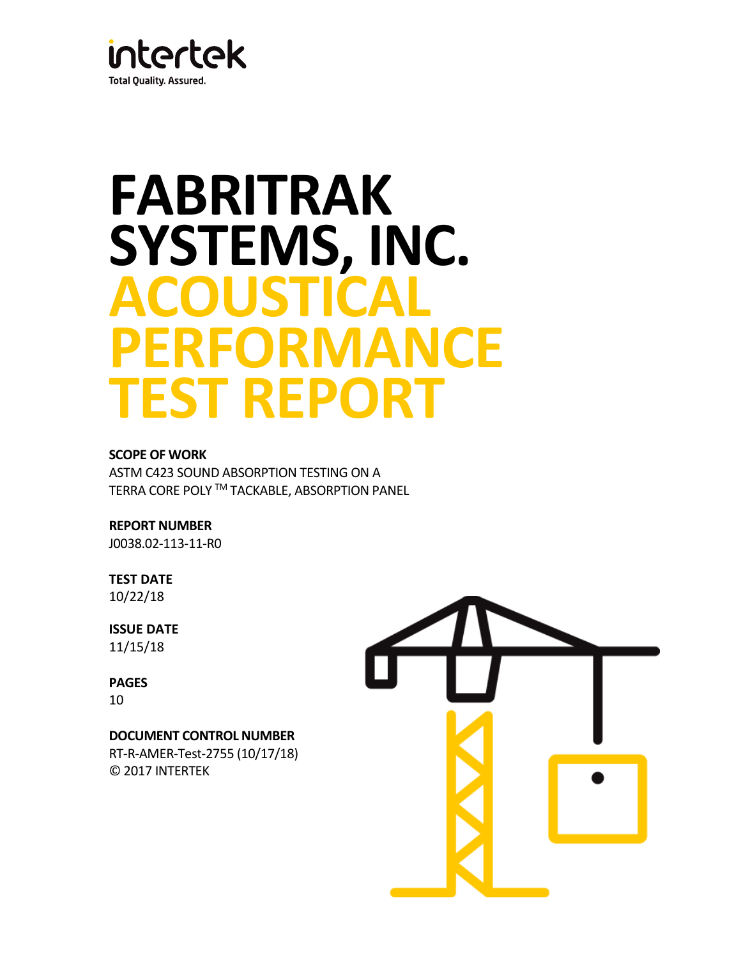

# **FABRITRAK SYSTEMS, INC. ACOUSTICAL PERFORMANCE TEST REPORT**

## **SCOPE OF WORK**

ASTM C423 SOUND ABSORPTION TESTING ON A TERRA CORE POLY TM TACKABLE, ABSORPTION PANEL

**REPORT NUMBER**

J0038.02-113-11-R0

**TEST DATE** 10/22/18

**ISSUE DATE** 11/15/18

**PAGES** 10

## **DOCUMENT CONTROL NUMBER**

RT-R-AMER-Test-2755 (10/17/18) © 2017 INTERTEK

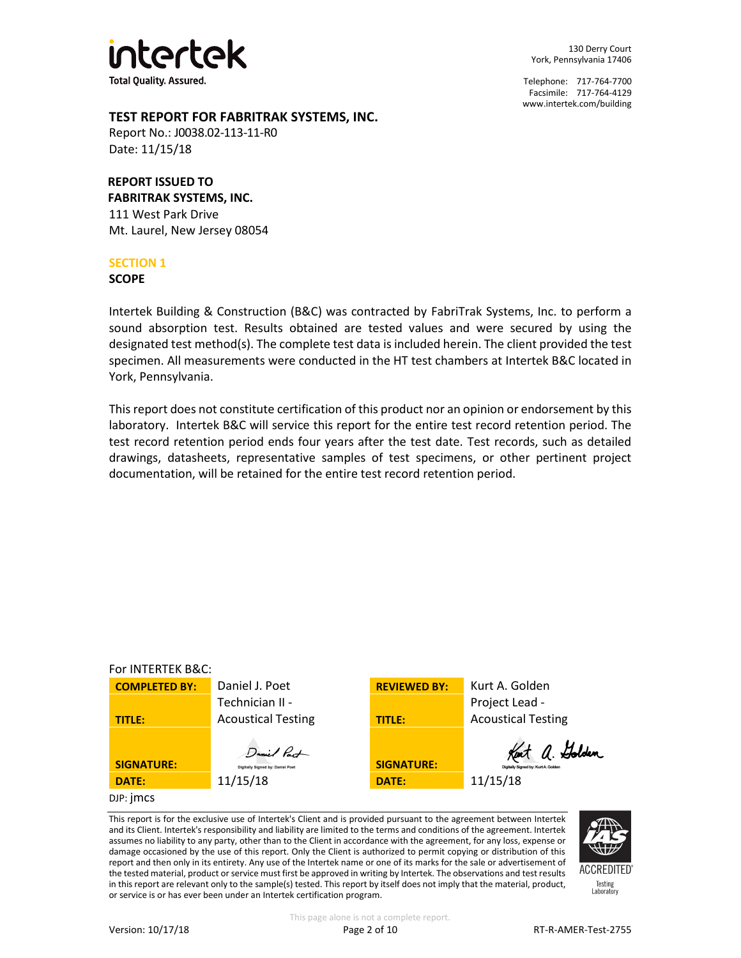

130 Derry Court York, Pennsylvania 17406

Telephone: 717-764-7700 Facsimile: 717-764-4129 [www.intertek.com/building](http://www.intertek.com/building)

## **TEST REPORT FOR FABRITRAK SYSTEMS, INC.**

Report No.: J0038.02-113-11-R0 Date: 11/15/18

## **REPORT ISSUED TO**

**FABRITRAK SYSTEMS, INC.** 111 West Park Drive Mt. Laurel, New Jersey 08054

## **SECTION 1**

**SCOPE**

Intertek Building & Construction (B&C) was contracted by FabriTrak Systems, Inc. to perform a sound absorption test. Results obtained are tested values and were secured by using the designated test method(s). The complete test data is included herein. The client provided the test specimen. All measurements were conducted in the HT test chambers at Intertek B&C located in York, Pennsylvania.

This report does not constitute certification of this product nor an opinion or endorsement by this laboratory. Intertek B&C will service this report for the entire test record retention period. The test record retention period ends four years after the test date. Test records, such as detailed drawings, datasheets, representative samples of test specimens, or other pertinent project documentation, will be retained for the entire test record retention period.



This report is for the exclusive use of Intertek's Client and is provided pursuant to the agreement between Intertek and its Client. Intertek's responsibility and liability are limited to the terms and conditions of the agreement. Intertek assumes no liability to any party, other than to the Client in accordance with the agreement, for any loss, expense or damage occasioned by the use of this report. Only the Client is authorized to permit copying or distribution of this report and then only in its entirety. Any use of the Intertek name or one of its marks for the sale or advertisement of the tested material, product or service must first be approved in writing by Intertek. The observations and test results in this report are relevant only to the sample(s) tested. This report by itself does not imply that the material, product, or service is or has ever been under an Intertek certification program.



**ACCREDITED** Testing<br>Laboratory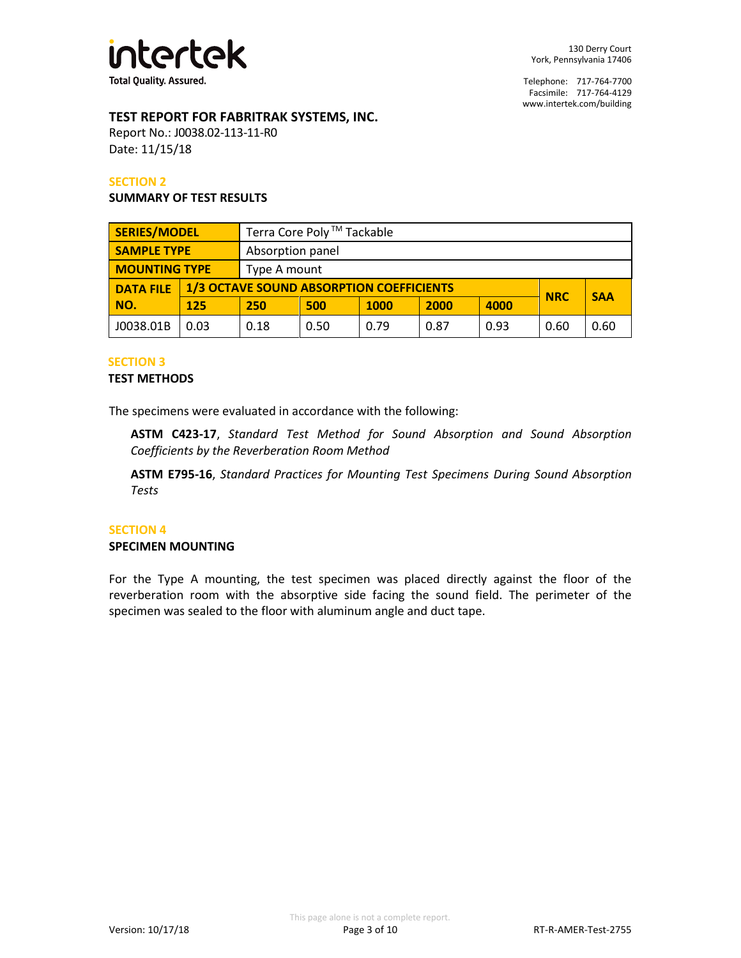

## **TEST REPORT FOR FABRITRAK SYSTEMS, INC.**

Report No.: J0038.02-113-11-R0 Date: 11/15/18

#### **SECTION 2**

#### **SUMMARY OF TEST RESULTS**

| <b>SERIES/MODEL</b>  |      | Terra Core Poly <sup>™</sup> Tackable                         |              |             |      |            |      |      |
|----------------------|------|---------------------------------------------------------------|--------------|-------------|------|------------|------|------|
| <b>SAMPLE TYPE</b>   |      | Absorption panel                                              |              |             |      |            |      |      |
| <b>MOUNTING TYPE</b> |      |                                                               | Type A mount |             |      |            |      |      |
| <b>DATA FILE</b>     |      | <b>1/3 OCTAVE SOUND ABSORPTION COEFFICIENTS</b><br><b>NRC</b> |              |             |      | <b>SAA</b> |      |      |
| NO.                  | 125  | 250                                                           | 500          | <b>1000</b> | 2000 | 4000       |      |      |
| J0038.01B            | 0.03 | 0.18                                                          | 0.50         | 0.79        | 0.87 | 0.93       | 0.60 | 0.60 |

#### **SECTION 3**

#### **TEST METHODS**

The specimens were evaluated in accordance with the following:

**ASTM C423-17**, *Standard Test Method for Sound Absorption and Sound Absorption Coefficients by the Reverberation Room Method*

**ASTM E795-16**, *Standard Practices for Mounting Test Specimens During Sound Absorption Tests*

#### **SECTION 4**

#### **SPECIMEN MOUNTING**

For the Type A mounting, the test specimen was placed directly against the floor of the reverberation room with the absorptive side facing the sound field. The perimeter of the specimen was sealed to the floor with aluminum angle and duct tape.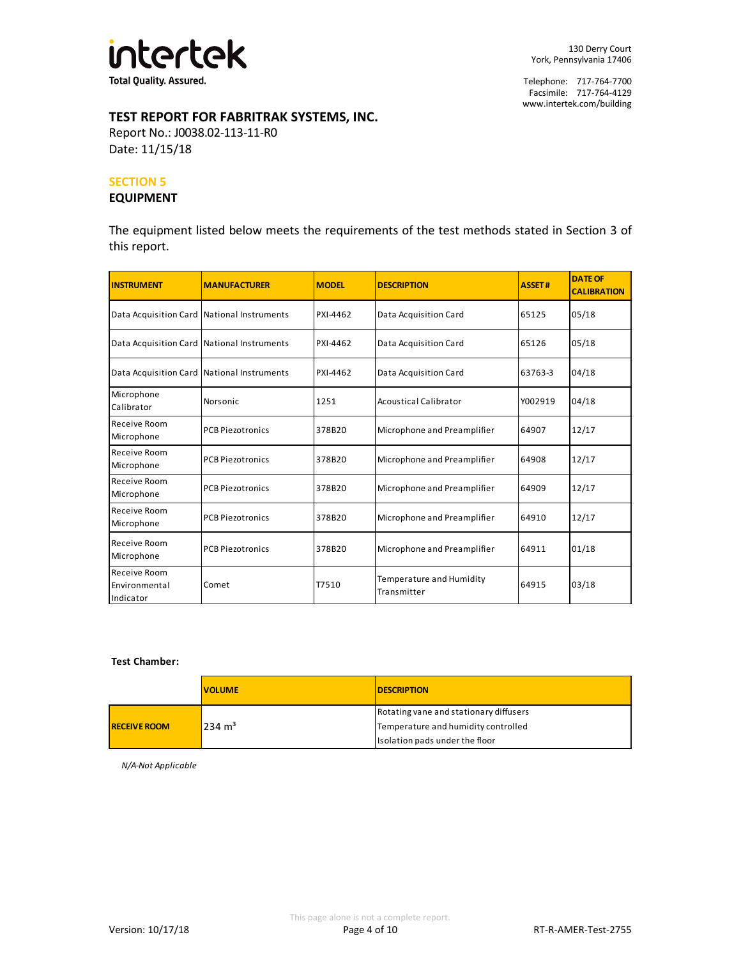

# **TEST REPORT FOR FABRITRAK SYSTEMS, INC.**

Report No.: J0038.02-113-11-R0 Date: 11/15/18

#### **SECTION 5**

#### **EQUIPMENT**

The equipment listed below meets the requirements of the test methods stated in Section 3 of this report.

| <b>INSTRUMENT</b>                          | <b>MANUFACTURER</b>     | <b>MODEL</b> | <b>DESCRIPTION</b>                      | <b>ASSET#</b> | <b>DATE OF</b><br><b>CALIBRATION</b> |
|--------------------------------------------|-------------------------|--------------|-----------------------------------------|---------------|--------------------------------------|
| Data Acquisition Card National Instruments |                         | PXI-4462     | Data Acquisition Card                   | 65125         | 05/18                                |
| Data Acquisition Card National Instruments |                         | PXI-4462     | Data Acquisition Card                   | 65126         | 05/18                                |
| Data Acquisition Card National Instruments |                         | PXI-4462     | Data Acquisition Card                   | 63763-3       | 04/18                                |
| Microphone<br>Calibrator                   | Norsonic                | 1251         | <b>Acoustical Calibrator</b>            | Y002919       | 04/18                                |
| Receive Room<br>Microphone                 | <b>PCB Piezotronics</b> | 378B20       | Microphone and Preamplifier             | 64907         | 12/17                                |
| Receive Room<br>Microphone                 | <b>PCB Piezotronics</b> | 378B20       | Microphone and Preamplifier             | 64908         | 12/17                                |
| Receive Room<br>Microphone                 | <b>PCB Piezotronics</b> | 378B20       | Microphone and Preamplifier             | 64909         | 12/17                                |
| Receive Room<br>Microphone                 | <b>PCB Piezotronics</b> | 378B20       | Microphone and Preamplifier             | 64910         | 12/17                                |
| Receive Room<br>Microphone                 | <b>PCB Piezotronics</b> | 378B20       | Microphone and Preamplifier             | 64911         | 01/18                                |
| Receive Room<br>Environmental<br>Indicator | Comet                   | T7510        | Temperature and Humidity<br>Transmitter | 64915         | 03/18                                |

#### **Test Chamber:**

|                     | <b>VOLUME</b>     | <b>DESCRIPTION</b>                     |
|---------------------|-------------------|----------------------------------------|
|                     | $234 \text{ m}^3$ | Rotating vane and stationary diffusers |
| <b>RECEIVE ROOM</b> |                   | Temperature and humidity controlled    |
|                     |                   | Isolation pads under the floor         |

*N/A-Not Applicable*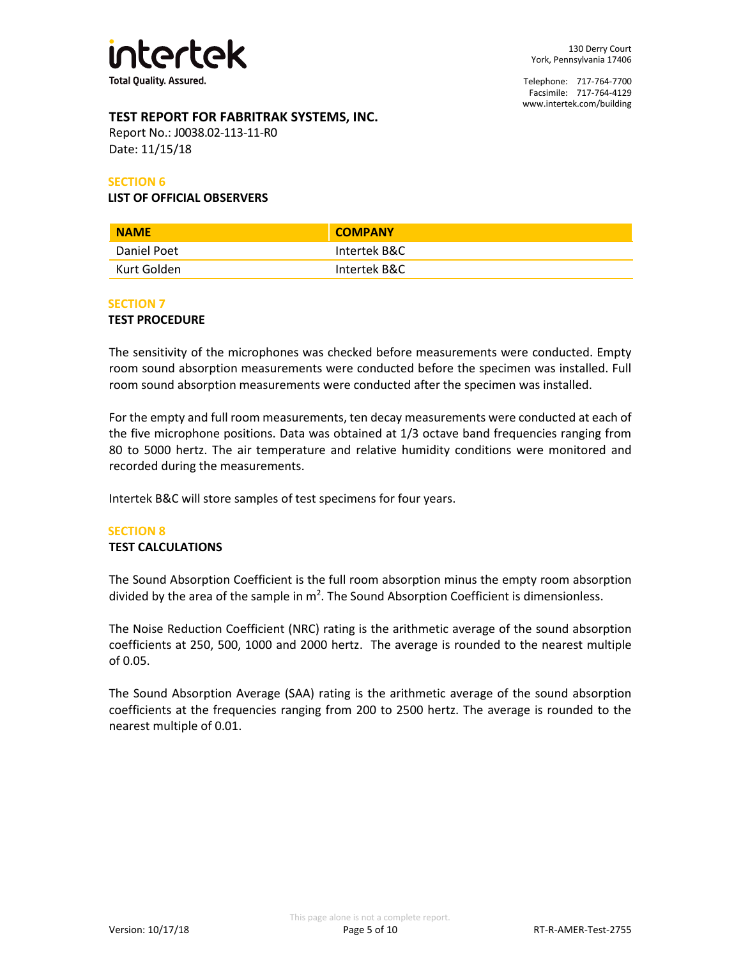

## **TEST REPORT FOR FABRITRAK SYSTEMS, INC.**

Report No.: J0038.02-113-11-R0 Date: 11/15/18

#### **SECTION 6**

#### **LIST OF OFFICIAL OBSERVERS**

| <b>NAME</b> | <b>COMPANY</b> |
|-------------|----------------|
| Daniel Poet | Intertek B&C   |
| Kurt Golden | Intertek B&C   |

#### **SECTION 7**

#### **TEST PROCEDURE**

The sensitivity of the microphones was checked before measurements were conducted. Empty room sound absorption measurements were conducted before the specimen was installed. Full room sound absorption measurements were conducted after the specimen was installed.

For the empty and full room measurements, ten decay measurements were conducted at each of the five microphone positions. Data was obtained at 1/3 octave band frequencies ranging from 80 to 5000 hertz. The air temperature and relative humidity conditions were monitored and recorded during the measurements.

Intertek B&C will store samples of test specimens for four years.

## **SECTION 8**

#### **TEST CALCULATIONS**

The Sound Absorption Coefficient is the full room absorption minus the empty room absorption divided by the area of the sample in  $m^2$ . The Sound Absorption Coefficient is dimensionless.

The Noise Reduction Coefficient (NRC) rating is the arithmetic average of the sound absorption coefficients at 250, 500, 1000 and 2000 hertz. The average is rounded to the nearest multiple of 0.05.

The Sound Absorption Average (SAA) rating is the arithmetic average of the sound absorption coefficients at the frequencies ranging from 200 to 2500 hertz. The average is rounded to the nearest multiple of 0.01.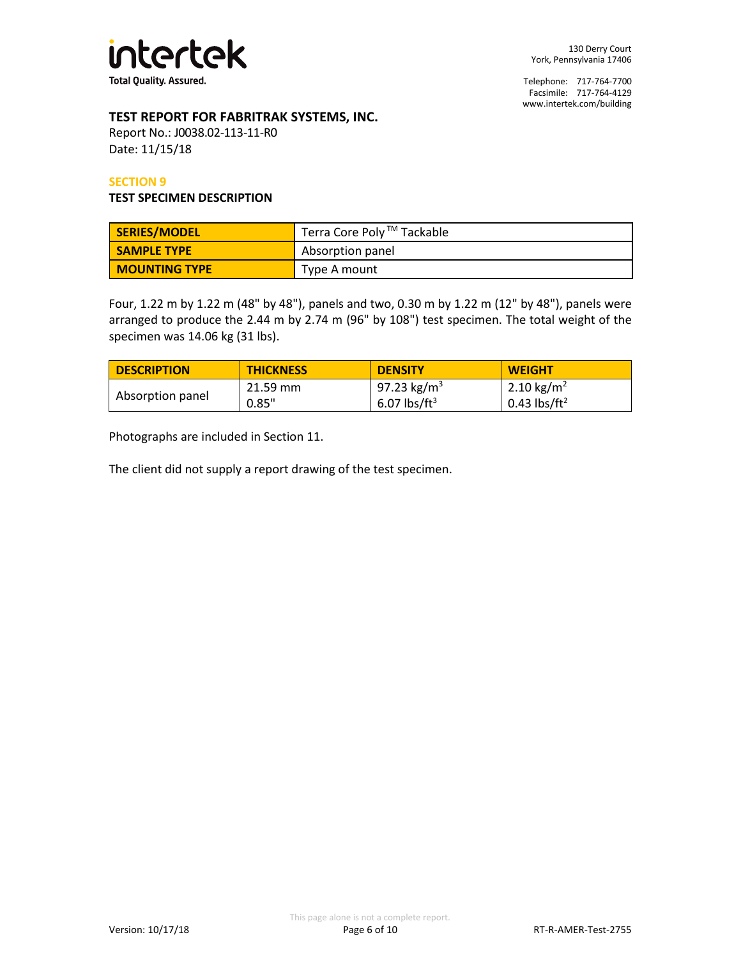

## **TEST REPORT FOR FABRITRAK SYSTEMS, INC.**

Report No.: J0038.02-113-11-R0 Date: 11/15/18

#### **SECTION 9**

#### **TEST SPECIMEN DESCRIPTION**

| SERIES/MODEL         | Terra Core Poly ™ Tackable |
|----------------------|----------------------------|
| <b>SAMPLE TYPE</b>   | Absorption panel           |
| <b>MOUNTING TYPE</b> | Type A mount               |

Four, 1.22 m by 1.22 m (48" by 48"), panels and two, 0.30 m by 1.22 m (12" by 48"), panels were arranged to produce the 2.44 m by 2.74 m (96" by 108") test specimen. The total weight of the specimen was 14.06 kg (31 lbs).

| <b>DESCRIPTION</b> | <b>THICKNESS</b> | <b>DENSITY</b>           | <b>WEIGHT</b>            |
|--------------------|------------------|--------------------------|--------------------------|
|                    | 21.59 mm         | 97.23 kg/m <sup>3</sup>  | 2.10 kg/m <sup>2</sup>   |
| Absorption panel   | 0.85"            | 6.07 lbs/ft <sup>3</sup> | 0.43 lbs/ft <sup>2</sup> |

Photographs are included in Section 11.

The client did not supply a report drawing of the test specimen.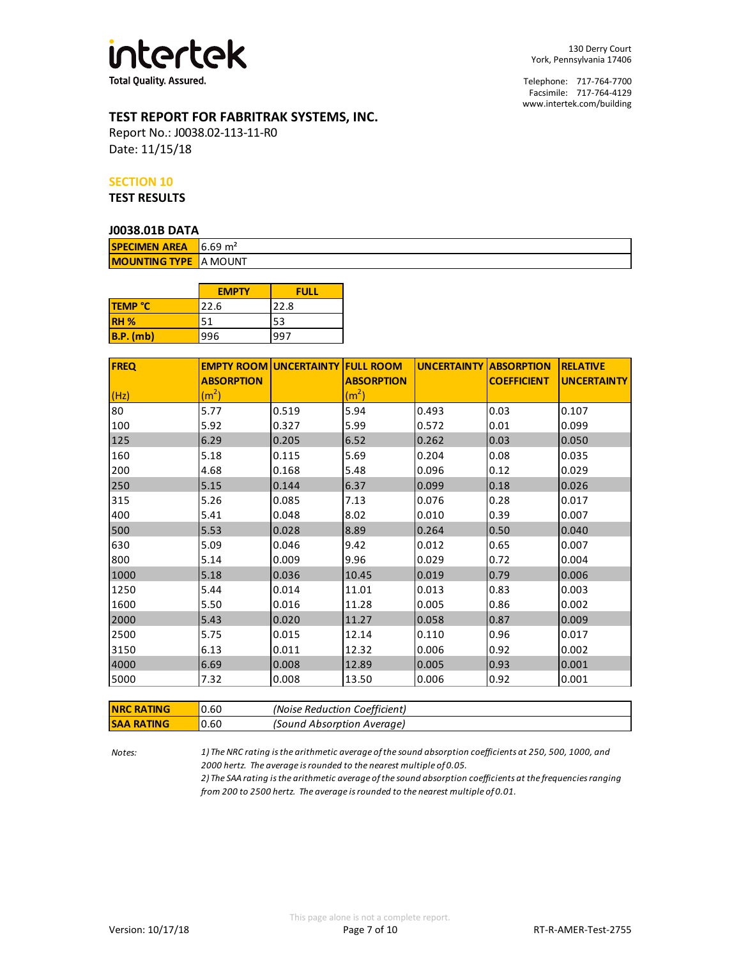

## **TEST REPORT FOR FABRITRAK SYSTEMS, INC.**

Report No.: J0038.02-113-11-R0 Date: 11/15/18

#### **SECTION 10**

**TEST RESULTS**

#### **J0038.01B DATA**

| <b>SPECIMEN AREA</b> 6.69 $m2$ |  |  |  |  |  |  |
|--------------------------------|--|--|--|--|--|--|
| <b>MOUNTING TYPE IA MOUNT</b>  |  |  |  |  |  |  |

|                | <b>EMPTY</b> | <b>FULL</b> |
|----------------|--------------|-------------|
| <b>TEMP °C</b> | 22.6         | 22.8        |
| <b>RH %</b>    | 51           | 53          |
| $B.P.$ (mb)    | 996          | 997         |

| <b>FREQ</b> |                   | <b>EMPTY ROOM UNCERTAINTY FULL ROOM</b> |                   | <b>UNCERTAINTY ABSORPTION</b> |                    | <b>RELATIVE</b>    |
|-------------|-------------------|-----------------------------------------|-------------------|-------------------------------|--------------------|--------------------|
|             | <b>ABSORPTION</b> |                                         | <b>ABSORPTION</b> |                               | <b>COEFFICIENT</b> | <b>UNCERTAINTY</b> |
| (Hz)        | (m <sup>2</sup> ) |                                         | (m <sup>2</sup> ) |                               |                    |                    |
| 80          | 5.77              | 0.519                                   | 5.94              | 0.493                         | 0.03               | 0.107              |
| 100         | 5.92              | 0.327                                   | 5.99              | 0.572                         | 0.01               | 0.099              |
| 125         | 6.29              | 0.205                                   | 6.52              | 0.262                         | 0.03               | 0.050              |
| 160         | 5.18              | 0.115                                   | 5.69              | 0.204                         | 0.08               | 0.035              |
| 200         | 4.68              | 0.168                                   | 5.48              | 0.096                         | 0.12               | 0.029              |
| 250         | 5.15              | 0.144                                   | 6.37              | 0.099                         | 0.18               | 0.026              |
| 315         | 5.26              | 0.085                                   | 7.13              | 0.076                         | 0.28               | 0.017              |
| 400         | 5.41              | 0.048                                   | 8.02              | 0.010                         | 0.39               | 0.007              |
| 500         | 5.53              | 0.028                                   | 8.89              | 0.264                         | 0.50               | 0.040              |
| 630         | 5.09              | 0.046                                   | 9.42              | 0.012                         | 0.65               | 0.007              |
| 800         | 5.14              | 0.009                                   | 9.96              | 0.029                         | 0.72               | 0.004              |
| 1000        | 5.18              | 0.036                                   | 10.45             | 0.019                         | 0.79               | 0.006              |
| 1250        | 5.44              | 0.014                                   | 11.01             | 0.013                         | 0.83               | 0.003              |
| 1600        | 5.50              | 0.016                                   | 11.28             | 0.005                         | 0.86               | 0.002              |
| 2000        | 5.43              | 0.020                                   | 11.27             | 0.058                         | 0.87               | 0.009              |
| 2500        | 5.75              | 0.015                                   | 12.14             | 0.110                         | 0.96               | 0.017              |
| 3150        | 6.13              | 0.011                                   | 12.32             | 0.006                         | 0.92               | 0.002              |
| 4000        | 6.69              | 0.008                                   | 12.89             | 0.005                         | 0.93               | 0.001              |
| 5000        | 7.32              | 0.008                                   | 13.50             | 0.006                         | 0.92               | 0.001              |

| <b>INRC RATING</b> | 0.60  | (Noise Reduction Coefficient) |
|--------------------|-------|-------------------------------|
| <b>ISAA RATING</b> | 10.60 | (Sound Absorption Average)    |

*Notes: 1) The NRC rating is the arithmetic average of the sound absorption coefficients at 250, 500, 1000, and 2000 hertz. The average is rounded to the nearest multiple of 0.05.*

*2) The SAA rating is the arithmetic average of the sound absorption coefficients at the frequencies ranging from 200 to 2500 hertz. The average is rounded to the nearest multiple of 0.01.*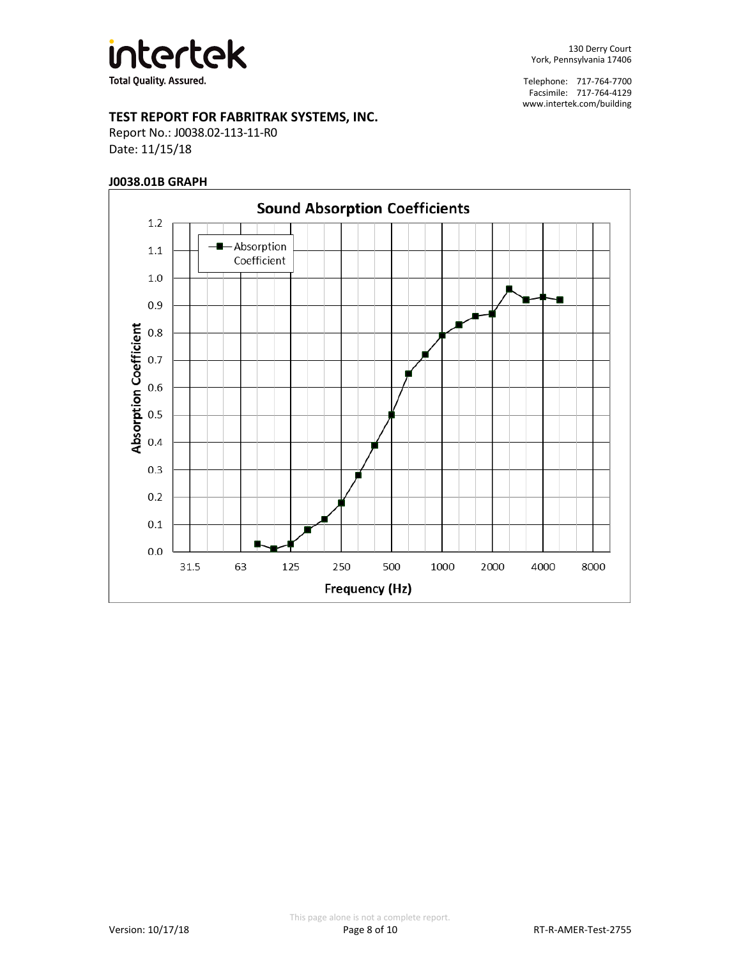

## **TEST REPORT FOR FABRITRAK SYSTEMS, INC.**

Report No.: J0038.02-113-11-R0 Date: 11/15/18

#### **J0038.01B GRAPH**

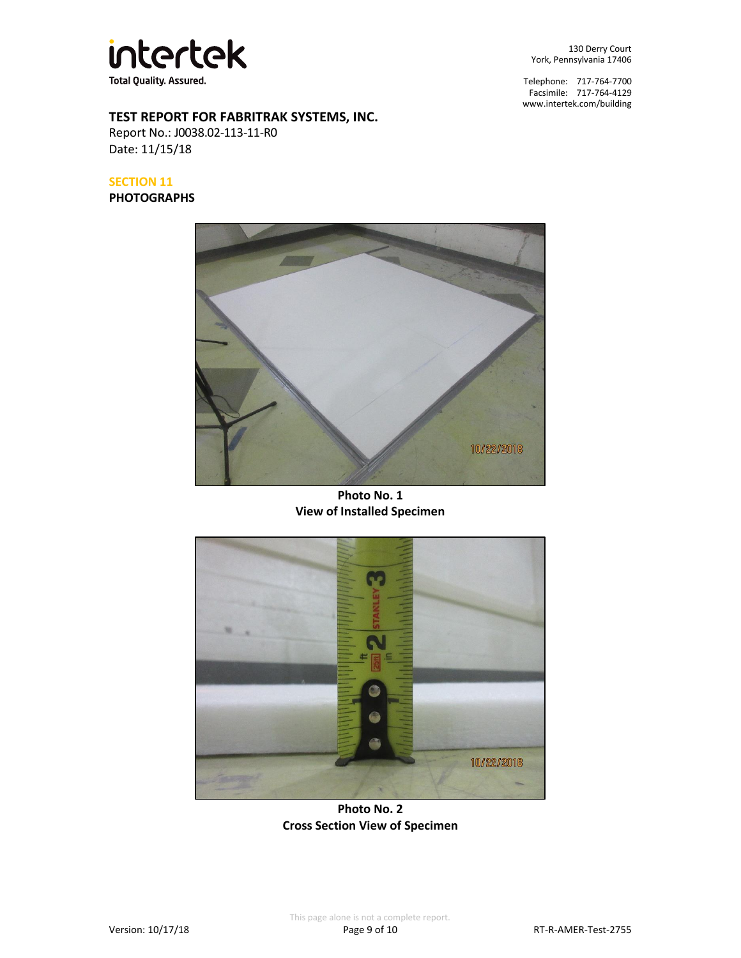

130 Derry Court York, Pennsylvania 17406

Telephone: 717-764-7700 Facsimile: 717-764-4129 [www.intertek.com/building](http://www.intertek.com/building)

# **TEST REPORT FOR FABRITRAK SYSTEMS, INC.**

Report No.: J0038.02-113-11-R0 Date: 11/15/18

## **SECTION 11**

**PHOTOGRAPHS**



**Photo No. 1 View of Installed Specimen**



**Photo No. 2 Cross Section View of Specimen**